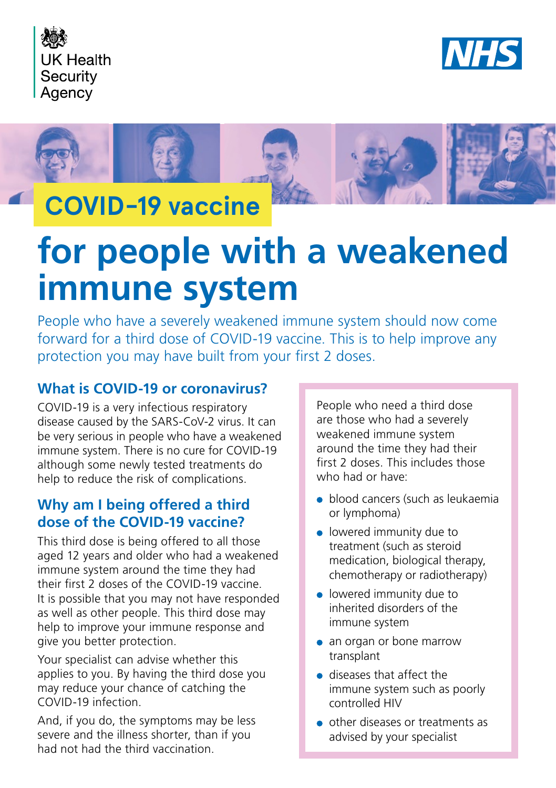





## **COVID-19 vaccine**

# **for people with a weakened immune system**

People who have a severely weakened immune system should now come forward for a third dose of COVID-19 vaccine. This is to help improve any protection you may have built from your first 2 doses.

## **What is COVID-19 or coronavirus?**

COVID-19 is a very infectious respiratory disease caused by the SARS-CoV-2 virus. It can be very serious in people who have a weakened immune system. There is no cure for COVID-19 although some newly tested treatments do help to reduce the risk of complications.

## **Why am I being offered a third dose of the COVID-19 vaccine?**

This third dose is being offered to all those aged 12 years and older who had a weakened immune system around the time they had their first 2 doses of the COVID-19 vaccine. It is possible that you may not have responded as well as other people. This third dose may help to improve your immune response and give you better protection.

Your specialist can advise whether this applies to you. By having the third dose you may reduce your chance of catching the COVID-19 infection.

And, if you do, the symptoms may be less severe and the illness shorter, than if you had not had the third vaccination.

People who need a third dose are those who had a severely weakened immune system around the time they had their first 2 doses. This includes those who had or have:

- blood cancers (such as leukaemia or lymphoma)
- **.** lowered immunity due to treatment (such as steroid medication, biological therapy, chemotherapy or radiotherapy)
- lowered immunity due to inherited disorders of the immune system
- an organ or bone marrow transplant
- diseases that affect the immune system such as poorly controlled HIV
- other diseases or treatments as advised by your specialist